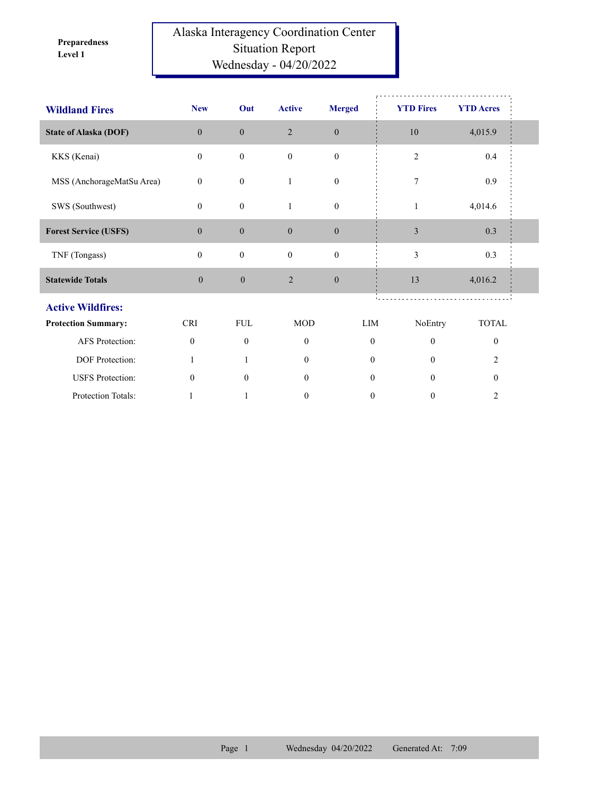**Level 1 Preparedness** 

## Alaska Interagency Coordination Center Situation Report Wednesday - 04/20/2022

| <b>Wildland Fires</b>        | <b>New</b>       | Out              | <b>Active</b>    | <b>Merged</b>    | <b>YTD Fires</b> | <b>YTD Acres</b> |  |
|------------------------------|------------------|------------------|------------------|------------------|------------------|------------------|--|
| <b>State of Alaska (DOF)</b> | $\overline{0}$   | $\boldsymbol{0}$ | $\overline{2}$   | $\mathbf{0}$     | 10               | 4,015.9          |  |
| KKS (Kenai)                  | $\mathbf{0}$     | $\boldsymbol{0}$ | $\mathbf{0}$     | $\boldsymbol{0}$ | $\overline{2}$   | 0.4              |  |
| MSS (AnchorageMatSu Area)    | $\mathbf{0}$     | $\boldsymbol{0}$ | $\mathbf{1}$     | $\boldsymbol{0}$ | 7                | 0.9              |  |
| SWS (Southwest)              | $\mathbf{0}$     | $\mathbf{0}$     | 1                | $\boldsymbol{0}$ | $\mathbf{1}$     | 4,014.6          |  |
| <b>Forest Service (USFS)</b> | $\mathbf{0}$     | $\boldsymbol{0}$ | $\mathbf{0}$     | $\mathbf{0}$     | $\mathfrak{Z}$   | 0.3              |  |
| TNF (Tongass)                | $\mathbf{0}$     | $\boldsymbol{0}$ | $\mathbf{0}$     | $\boldsymbol{0}$ | 3                | 0.3              |  |
| <b>Statewide Totals</b>      | $\boldsymbol{0}$ | $\boldsymbol{0}$ | $\overline{2}$   | $\mathbf{0}$     | 13               | 4,016.2          |  |
| <b>Active Wildfires:</b>     |                  |                  |                  |                  |                  |                  |  |
| <b>Protection Summary:</b>   | <b>CRI</b>       | <b>FUL</b>       | <b>MOD</b>       | LIM              | NoEntry          | <b>TOTAL</b>     |  |
| AFS Protection:              | $\mathbf{0}$     | $\mathbf{0}$     | $\mathbf{0}$     | $\mathbf{0}$     | $\theta$         | $\mathbf{0}$     |  |
| DOF Protection:              | 1                |                  | $\theta$         | $\theta$         | $\theta$         | $\overline{c}$   |  |
| <b>USFS</b> Protection:      | $\mathbf{0}$     | $\theta$         | $\overline{0}$   | $\mathbf{0}$     | $\theta$         | $\boldsymbol{0}$ |  |
| Protection Totals:           |                  |                  | $\boldsymbol{0}$ | $\boldsymbol{0}$ | $\boldsymbol{0}$ | $\overline{c}$   |  |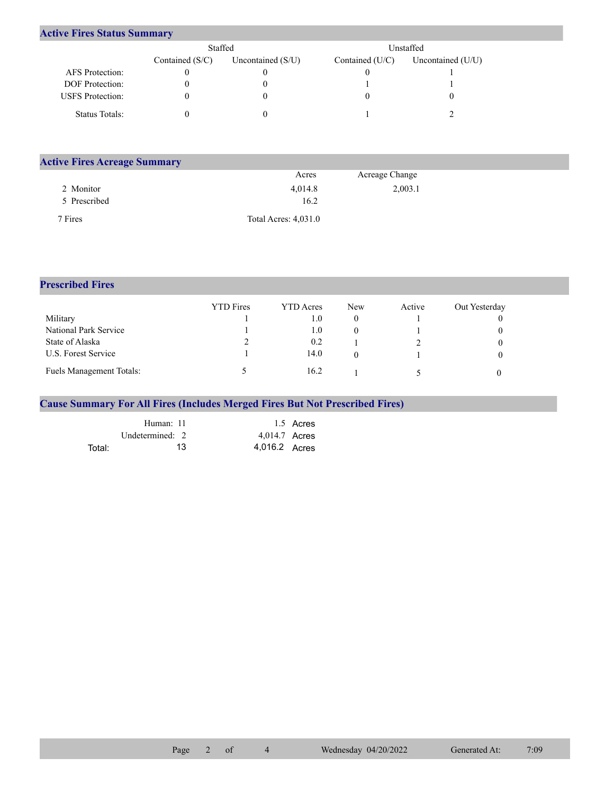## **Active Fires Status Summary**

|                         | Staffed           |                     |                 | Unstaffed-          |
|-------------------------|-------------------|---------------------|-----------------|---------------------|
|                         | Contained $(S/C)$ | Uncontained $(S/U)$ | Contained (U/C) | Uncontained $(U/U)$ |
| AFS Protection:         |                   |                     |                 |                     |
| <b>DOF</b> Protection:  |                   |                     |                 |                     |
| <b>USFS</b> Protection: |                   |                     |                 |                     |
| Status Totals:          |                   |                     |                 |                     |

| <b>Active Fires Acreage Summary</b> |                      |                |  |
|-------------------------------------|----------------------|----------------|--|
|                                     | Acres                | Acreage Change |  |
| 2 Monitor                           | 4,014.8              | 2,003.1        |  |
| 5 Prescribed                        | 16.2                 |                |  |
| 7 Fires                             | Total Acres: 4,031.0 |                |  |

## **Prescribed Fires**

|                                 | <b>YTD</b> Fires | YTD Acres | New | Active | Out Yesterday |
|---------------------------------|------------------|-----------|-----|--------|---------------|
| Military                        |                  | 1.0       | U   |        |               |
| National Park Service           |                  | 1.0       |     |        |               |
| State of Alaska                 |                  | 0.2       |     |        |               |
| U.S. Forest Service             |                  | 14.0      |     |        |               |
| <b>Fuels Management Totals:</b> |                  | 16.2      |     |        |               |

## **Cause Summary For All Fires (Includes Merged Fires But Not Prescribed Fires)**

|        | Human: 11         | 1.5 Acres     |
|--------|-------------------|---------------|
|        | Undetermined: $2$ | 4,014.7 Acres |
| Total: | 13                | 4,016.2 Acres |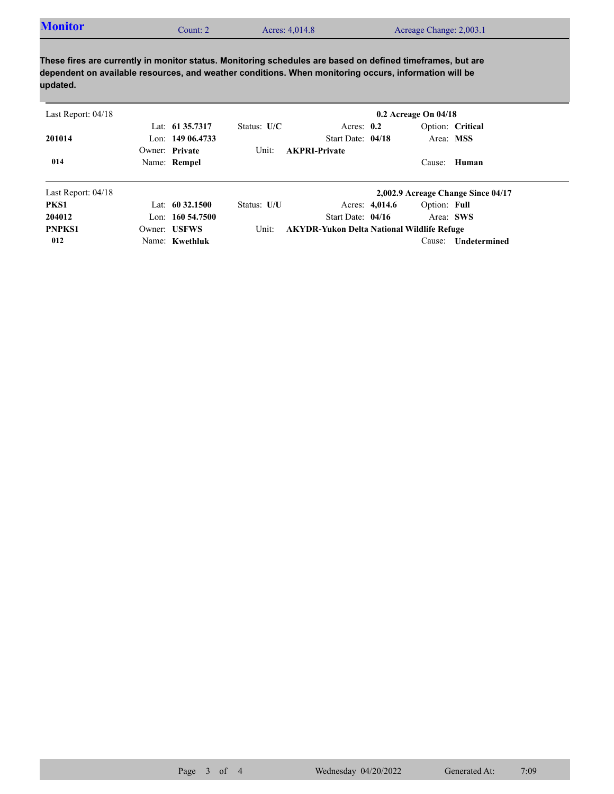| <b>Monitor</b><br>Acreage Change: 2,003.1<br>Acres: 4,014.8<br>Count: 2 |  |
|-------------------------------------------------------------------------|--|
|-------------------------------------------------------------------------|--|

**These fires are currently in monitor status. Monitoring schedules are based on defined timeframes, but are dependent on available resources, and weather conditions. When monitoring occurs, information will be updated.**

| Last Report: $04/18$ |                     |               |                                                   |                | $0.2$ Acreage On $04/18$ |                                    |
|----------------------|---------------------|---------------|---------------------------------------------------|----------------|--------------------------|------------------------------------|
|                      | Lat: 61 35,7317     | Status: $U/C$ | Acres: $0.2$                                      |                |                          | Option: Critical                   |
| 201014               | Lon: $14906.4733$   |               | Start Date: 04/18                                 |                |                          | Area: MSS                          |
|                      | Owner: Private      | Unit:         | <b>AKPRI-Private</b>                              |                |                          |                                    |
| 014                  | Name: Rempel        |               |                                                   |                | Cause:                   | Human                              |
| Last Report: $04/18$ |                     |               |                                                   |                |                          | 2,002.9 Acreage Change Since 04/17 |
| PKS1                 | Lat: $60\,32.1500$  | Status: U/U   |                                                   | Acres: 4,014.6 | Option: Full             |                                    |
| 204012               | Lon: $160\,54.7500$ |               | Start Date: $04/16$                               |                |                          | Area: SWS                          |
| <b>PNPKS1</b>        | Owner: USFWS        | Unit:         | <b>AKYDR-Yukon Delta National Wildlife Refuge</b> |                |                          |                                    |
| 012                  | Name: Kwethluk      |               |                                                   |                | Cause:                   | Undetermined                       |